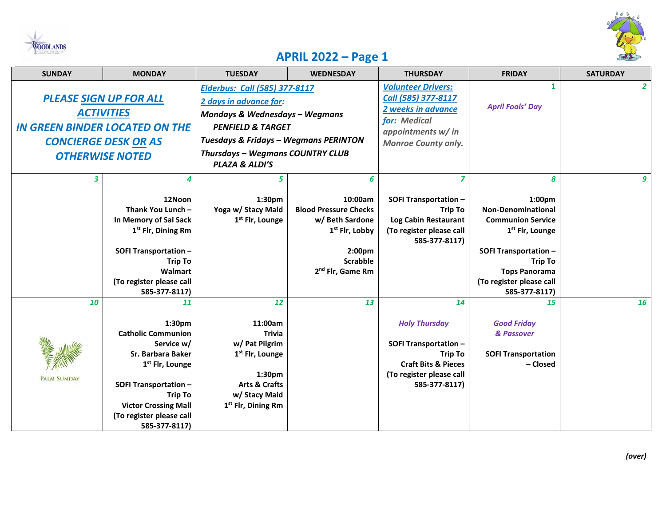



## **APRIL 2022 – Page 1**

| <b>SUNDAY</b>                                                                                                                                        | <b>MONDAY</b>                                                                                                                                                                                                                                                | <b>TUESDAY</b>                                                                                                                                                                                                                                        | <b>WEDNESDAY</b>                                                                                                                                           | <b>THURSDAY</b>                                                                                                                                             | <b>FRIDAY</b>                                                                                                                                                                                                              | <b>SATURDAY</b> |
|------------------------------------------------------------------------------------------------------------------------------------------------------|--------------------------------------------------------------------------------------------------------------------------------------------------------------------------------------------------------------------------------------------------------------|-------------------------------------------------------------------------------------------------------------------------------------------------------------------------------------------------------------------------------------------------------|------------------------------------------------------------------------------------------------------------------------------------------------------------|-------------------------------------------------------------------------------------------------------------------------------------------------------------|----------------------------------------------------------------------------------------------------------------------------------------------------------------------------------------------------------------------------|-----------------|
| <b>PLEASE SIGN UP FOR ALL</b><br><b>ACTIVITIES</b><br><b>IN GREEN BINDER LOCATED ON THE</b><br><b>CONCIERGE DESK OR AS</b><br><b>OTHERWISE NOTED</b> |                                                                                                                                                                                                                                                              | <b>Elderbus: Call (585) 377-8117</b><br>2 days in advance for:<br><b>Mondays &amp; Wednesdays - Wegmans</b><br><b>PENFIELD &amp; TARGET</b><br><b>Tuesdays &amp; Fridays - Wegmans PERINTON</b><br>Thursdays - Wegmans COUNTRY CLUB<br>PLAZA & ALDI'S |                                                                                                                                                            | <b>Volunteer Drivers:</b><br>Call (585) 377-8117<br>2 weeks in advance<br>for: Medical<br>appointments w/ in<br><b>Monroe County only.</b>                  | 1<br><b>April Fools' Day</b>                                                                                                                                                                                               | $\mathbf{2}$    |
| 3                                                                                                                                                    | 12Noon<br>Thank You Lunch -<br>In Memory of Sal Sack<br>1 <sup>st</sup> Flr, Dining Rm<br><b>SOFI Transportation -</b><br><b>Trip To</b><br>Walmart<br>(To register please call<br>585-377-8117)                                                             | 5<br>1:30pm<br>Yoga w/ Stacy Maid<br>1 <sup>st</sup> Flr, Lounge                                                                                                                                                                                      | 6<br>10:00am<br><b>Blood Pressure Checks</b><br>w/ Beth Sardone<br>1 <sup>st</sup> Flr, Lobby<br>2:00pm<br><b>Scrabble</b><br>2 <sup>nd</sup> Flr, Game Rm | 7<br><b>SOFI Transportation -</b><br><b>Trip To</b><br>Log Cabin Restaurant<br>(To register please call<br>585-377-8117)                                    | 8<br>1:00pm<br><b>Non-Denominational</b><br><b>Communion Service</b><br>1 <sup>st</sup> Flr, Lounge<br><b>SOFI Transportation -</b><br><b>Trip To</b><br><b>Tops Panorama</b><br>(To register please call<br>585-377-8117) | 9               |
| 10<br><b>PALM SUNDAY</b>                                                                                                                             | 11<br>1:30 <sub>pm</sub><br><b>Catholic Communion</b><br>Service w/<br><b>Sr. Barbara Baker</b><br>1 <sup>st</sup> Flr, Lounge<br><b>SOFI Transportation -</b><br><b>Trip To</b><br><b>Victor Crossing Mall</b><br>(To register please call<br>585-377-8117) | 12<br>11:00am<br><b>Trivia</b><br>w/ Pat Pilgrim<br>1 <sup>st</sup> Flr, Lounge<br>1:30pm<br><b>Arts &amp; Crafts</b><br>w/ Stacy Maid<br>1 <sup>st</sup> Flr, Dining Rm                                                                              | 13                                                                                                                                                         | 14<br><b>Holy Thursday</b><br><b>SOFI Transportation -</b><br><b>Trip To</b><br><b>Craft Bits &amp; Pieces</b><br>(To register please call<br>585-377-8117) | 15<br><b>Good Friday</b><br>& Passover<br><b>SOFI Transportation</b><br>- Closed                                                                                                                                           | 16              |